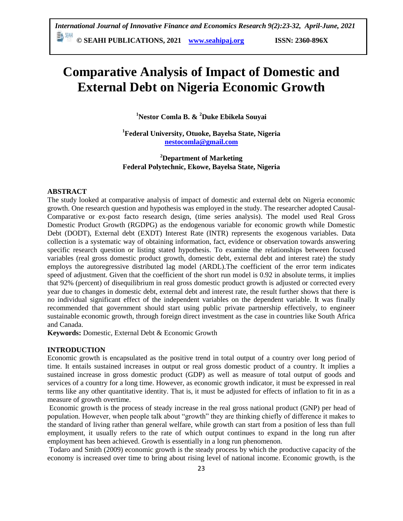**© SEAHI PUBLICATIONS, 2021 [www.seahipaj.org](http://www.seahipaj.org/) ISSN: 2360-896X**

# **Comparative Analysis of Impact of Domestic and External Debt on Nigeria Economic Growth**

**<sup>1</sup>Nestor Comla B. & <sup>2</sup>Duke Ebikela Souyai**

**<sup>1</sup>Federal University, Otuoke, Bayelsa State, Nigeria [nestocomla@gmail.com](mailto:nestocomla@gmail.com)**

**<sup>2</sup>Department of Marketing Federal Polytechnic, Ekowe, Bayelsa State, Nigeria**

# **ABSTRACT**

The study looked at comparative analysis of impact of domestic and external debt on Nigeria economic growth. One research question and hypothesis was employed in the study. The researcher adopted Causal-Comparative or ex-post facto research design, (time series analysis). The model used Real Gross Domestic Product Growth (RGDPG) as the endogenous variable for economic growth while Domestic Debt (DODT), External debt (EXDT) Interest Rate (INTR) represents the exogenous variables. Data collection is a systematic way of obtaining information, fact, evidence or observation towards answering specific research question or listing stated hypothesis. To examine the relationships between focused variables (real gross domestic product growth, domestic debt, external debt and interest rate) the study employs the autoregressive distributed lag model (ARDL).The coefficient of the error term indicates speed of adjustment. Given that the coefficient of the short run model is 0.92 in absolute terms, it implies that 92% (percent) of disequilibrium in real gross domestic product growth is adjusted or corrected every year due to changes in domestic debt, external debt and interest rate, the result further shows that there is no individual significant effect of the independent variables on the dependent variable. It was finally recommended that government should start using public private partnership effectively, to engineer sustainable economic growth, through foreign direct investment as the case in countries like South Africa and Canada.

**Keywords:** Domestic, External Debt & Economic Growth

#### **INTRODUCTION**

Economic growth is encapsulated as the positive trend in total output of a country over long period of time. It entails sustained increases in output or real gross domestic product of a country. It implies a sustained increase in gross domestic product (GDP) as well as measure of total output of goods and services of a country for a long time. However, as economic growth indicator, it must be expressed in real terms like any other quantitative identity. That is, it must be adjusted for effects of inflation to fit in as a measure of growth overtime.

Economic growth is the process of steady increase in the real gross national product (GNP) per head of population. However, when people talk about "growth" they are thinking chiefly of difference it makes to the standard of living rather than general welfare, while growth can start from a position of less than full employment, it usually refers to the rate of which output continues to expand in the long run after employment has been achieved. Growth is essentially in a long run phenomenon.

Todaro and Smith (2009) economic growth is the steady process by which the productive capacity of the economy is increased over time to bring about rising level of national income. Economic growth, is the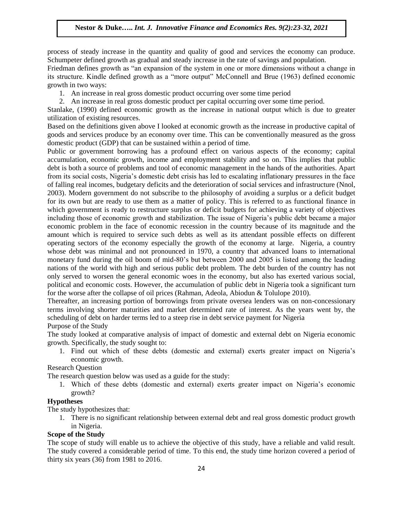process of steady increase in the quantity and quality of good and services the economy can produce. Schumpeter defined growth as gradual and steady increase in the rate of savings and population.

Friedman defines growth as "an expansion of the system in one or more dimensions without a change in its structure. Kindle defined growth as a "more output" McConnell and Brue (1963) defined economic growth in two ways:

1. An increase in real gross domestic product occurring over some time period

2. An increase in real gross domestic product per capital occurring over some time period.

Stanlake, (1990) defined economic growth as the increase in national output which is due to greater utilization of existing resources.

Based on the definitions given above I looked at economic growth as the increase in productive capital of goods and services produce by an economy over time. This can be conventionally measured as the gross domestic product (GDP) that can be sustained within a period of time.

Public or government borrowing has a profound effect on various aspects of the economy; capital accumulation, economic growth, income and employment stability and so on. This implies that public debt is both a source of problems and tool of economic management in the hands of the authorities. Apart from its social costs, Nigeria's domestic debt crisis has led to escalating inflationary pressures in the face of falling real incomes, budgetary deficits and the deterioration of social services and infrastructure (Nnol, 2003). Modern government do not subscribe to the philosophy of avoiding a surplus or a deficit budget for its own but are ready to use them as a matter of policy. This is referred to as functional finance in which government is ready to restructure surplus or deficit budgets for achieving a variety of objectives including those of economic growth and stabilization. The issue of Nigeria's public debt became a major economic problem in the face of economic recession in the country because of its magnitude and the amount which is required to service such debts as well as its attendant possible effects on different operating sectors of the economy especially the growth of the economy at large. Nigeria, a country whose debt was minimal and not pronounced in 1970, a country that advanced loans to international monetary fund during the oil boom of mid-80's but between 2000 and 2005 is listed among the leading nations of the world with high and serious public debt problem. The debt burden of the country has not only served to worsen the general economic woes in the economy, but also has exerted various social, political and economic costs. However, the accumulation of public debt in Nigeria took a significant turn for the worse after the collapse of oil prices (Rahman, Adeola, Abiodun & Tolulope 2010).

Thereafter, an increasing portion of borrowings from private oversea lenders was on non-concessionary terms involving shorter maturities and market determined rate of interest. As the years went by, the scheduling of debt on harder terms led to a steep rise in debt service payment for Nigeria

# Purpose of the Study

The study looked at comparative analysis of impact of domestic and external debt on Nigeria economic growth. Specifically, the study sought to:

1. Find out which of these debts (domestic and external) exerts greater impact on Nigeria's economic growth.

Research Question

The research question below was used as a guide for the study:

1. Which of these debts (domestic and external) exerts greater impact on Nigeria's economic growth?

# **Hypotheses**

The study hypothesizes that:

1. There is no significant relationship between external debt and real gross domestic product growth in Nigeria.

# **Scope of the Study**

The scope of study will enable us to achieve the objective of this study, have a reliable and valid result. The study covered a considerable period of time. To this end, the study time horizon covered a period of thirty six years (36) from 1981 to 2016.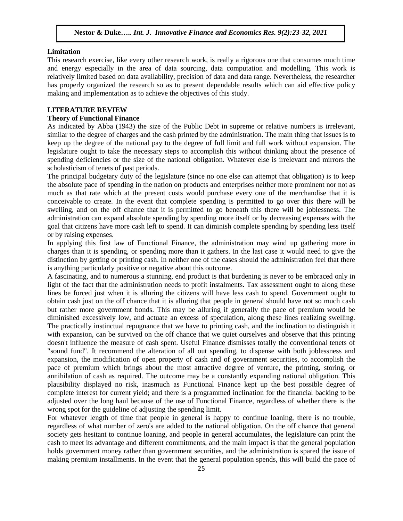#### **Limitation**

This research exercise, like every other research work, is really a rigorous one that consumes much time and energy especially in the area of data sourcing, data computation and modelling. This work is relatively limited based on data availability, precision of data and data range. Nevertheless, the researcher has properly organized the research so as to present dependable results which can aid effective policy making and implementation as to achieve the objectives of this study.

#### **LITERATURE REVIEW**

#### **Theory of Functional Finance**

As indicated by Abba (1943) the size of the Public Debt in supreme or relative numbers is irrelevant, similar to the degree of charges and the cash printed by the administration. The main thing that issues is to keep up the degree of the national pay to the degree of full limit and full work without expansion. The legislature ought to take the necessary steps to accomplish this without thinking about the presence of spending deficiencies or the size of the national obligation. Whatever else is irrelevant and mirrors the scholasticism of tenets of past periods.

The principal budgetary duty of the legislature (since no one else can attempt that obligation) is to keep the absolute pace of spending in the nation on products and enterprises neither more prominent nor not as much as that rate which at the present costs would purchase every one of the merchandise that it is conceivable to create. In the event that complete spending is permitted to go over this there will be swelling, and on the off chance that it is permitted to go beneath this there will be joblessness. The administration can expand absolute spending by spending more itself or by decreasing expenses with the goal that citizens have more cash left to spend. It can diminish complete spending by spending less itself or by raising expenses.

In applying this first law of Functional Finance, the administration may wind up gathering more in charges than it is spending, or spending more than it gathers. In the last case it would need to give the distinction by getting or printing cash. In neither one of the cases should the administration feel that there is anything particularly positive or negative about this outcome.

A fascinating, and to numerous a stunning, end product is that burdening is never to be embraced only in light of the fact that the administration needs to profit instalments. Tax assessment ought to along these lines be forced just when it is alluring the citizens will have less cash to spend. Government ought to obtain cash just on the off chance that it is alluring that people in general should have not so much cash but rather more government bonds. This may be alluring if generally the pace of premium would be diminished excessively low, and actuate an excess of speculation, along these lines realizing swelling. The practically instinctual repugnance that we have to printing cash, and the inclination to distinguish it with expansion, can be survived on the off chance that we quiet ourselves and observe that this printing doesn't influence the measure of cash spent. Useful Finance dismisses totally the conventional tenets of "sound fund". It recommend the alteration of all out spending, to dispense with both joblessness and expansion, the modification of open property of cash and of government securities, to accomplish the pace of premium which brings about the most attractive degree of venture, the printing, storing, or annihilation of cash as required. The outcome may be a constantly expanding national obligation. This plausibility displayed no risk, inasmuch as Functional Finance kept up the best possible degree of complete interest for current yield; and there is a programmed inclination for the financial backing to be adjusted over the long haul because of the use of Functional Finance, regardless of whether there is the wrong spot for the guideline of adjusting the spending limit.

For whatever length of time that people in general is happy to continue loaning, there is no trouble, regardless of what number of zero's are added to the national obligation. On the off chance that general society gets hesitant to continue loaning, and people in general accumulates, the legislature can print the cash to meet its advantage and different commitments, and the main impact is that the general population holds government money rather than government securities, and the administration is spared the issue of making premium installments. In the event that the general population spends, this will build the pace of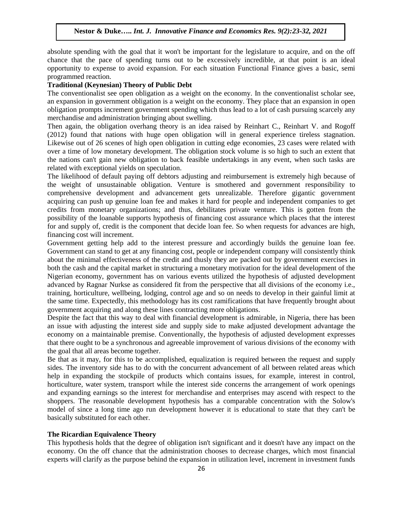absolute spending with the goal that it won't be important for the legislature to acquire, and on the off chance that the pace of spending turns out to be excessively incredible, at that point is an ideal opportunity to expense to avoid expansion. For each situation Functional Finance gives a basic, semi programmed reaction.

#### **Traditional (Keynesian) Theory of Public Debt**

The conventionalist see open obligation as a weight on the economy. In the conventionalist scholar see, an expansion in government obligation is a weight on the economy. They place that an expansion in open obligation prompts increment government spending which thus lead to a lot of cash pursuing scarcely any merchandise and administration bringing about swelling.

Then again, the obligation overhang theory is an idea raised by Reinhart C., Reinhart V. and Rogoff (2012) found that nations with huge open obligation will in general experience tireless stagnation. Likewise out of 26 scenes of high open obligation in cutting edge economies, 23 cases were related with over a time of low monetary development. The obligation stock volume is so high to such an extent that the nations can't gain new obligation to back feasible undertakings in any event, when such tasks are related with exceptional yields on speculation.

The likelihood of default paying off debtors adjusting and reimbursement is extremely high because of the weight of unsustainable obligation. Venture is smothered and government responsibility to comprehensive development and advancement gets unrealizable. Therefore gigantic government acquiring can push up genuine loan fee and makes it hard for people and independent companies to get credits from monetary organizations; and thus, debilitates private venture. This is gotten from the possibility of the loanable supports hypothesis of financing cost assurance which places that the interest for and supply of, credit is the component that decide loan fee. So when requests for advances are high, financing cost will increment.

Government getting help add to the interest pressure and accordingly builds the genuine loan fee. Government can stand to get at any financing cost, people or independent company will consistently think about the minimal effectiveness of the credit and thusly they are packed out by government exercises in both the cash and the capital market in structuring a monetary motivation for the ideal development of the Nigerian economy, government has on various events utilized the hypothesis of adjusted development advanced by Ragnar Nurkse as considered fit from the perspective that all divisions of the economy i.e., training, horticulture, wellbeing, lodging, control age and so on needs to develop in their gainful limit at the same time. Expectedly, this methodology has its cost ramifications that have frequently brought about government acquiring and along these lines contracting more obligations.

Despite the fact that this way to deal with financial development is admirable, in Nigeria, there has been an issue with adjusting the interest side and supply side to make adjusted development advantage the economy on a maintainable premise. Conventionally, the hypothesis of adjusted development expresses that there ought to be a synchronous and agreeable improvement of various divisions of the economy with the goal that all areas become together.

Be that as it may, for this to be accomplished, equalization is required between the request and supply sides. The inventory side has to do with the concurrent advancement of all between related areas which help in expanding the stockpile of products which contains issues, for example, interest in control, horticulture, water system, transport while the interest side concerns the arrangement of work openings and expanding earnings so the interest for merchandise and enterprises may ascend with respect to the shoppers. The reasonable development hypothesis has a comparable concentration with the Solow's model of since a long time ago run development however it is educational to state that they can't be basically substituted for each other.

## **The Ricardian Equivalence Theory**

This hypothesis holds that the degree of obligation isn't significant and it doesn't have any impact on the economy. On the off chance that the administration chooses to decrease charges, which most financial experts will clarify as the purpose behind the expansion in utilization level, increment in investment funds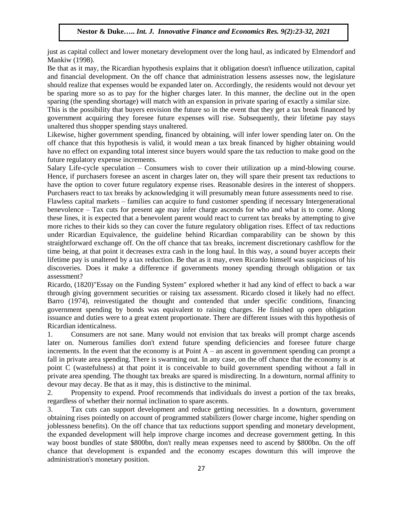just as capital collect and lower monetary development over the long haul, as indicated by Elmendorf and Mankiw (1998).

Be that as it may, the Ricardian hypothesis explains that it obligation doesn't influence utilization, capital and financial development. On the off chance that administration lessens assesses now, the legislature should realize that expenses would be expanded later on. Accordingly, the residents would not devour yet be sparing more so as to pay for the higher charges later. In this manner, the decline out in the open sparing (the spending shortage) will match with an expansion in private sparing of exactly a similar size.

This is the possibility that buyers envision the future so in the event that they get a tax break financed by government acquiring they foresee future expenses will rise. Subsequently, their lifetime pay stays unaltered thus shopper spending stays unaltered.

Likewise, higher government spending, financed by obtaining, will infer lower spending later on. On the off chance that this hypothesis is valid, it would mean a tax break financed by higher obtaining would have no effect on expanding total interest since buyers would spare the tax reduction to make good on the future regulatory expense increments.

Salary Life-cycle speculation – Consumers wish to cover their utilization up a mind-blowing course. Hence, if purchasers foresee an ascent in charges later on, they will spare their present tax reductions to have the option to cover future regulatory expense rises. Reasonable desires in the interest of shoppers. Purchasers react to tax breaks by acknowledging it will presumably mean future assessments need to rise.

Flawless capital markets – families can acquire to fund customer spending if necessary Intergenerational benevolence – Tax cuts for present age may infer charge ascends for who and what is to come. Along these lines, it is expected that a benevolent parent would react to current tax breaks by attempting to give more riches to their kids so they can cover the future regulatory obligation rises. Effect of tax reductions under Ricardian Equivalence, the guideline behind Ricardian comparability can be shown by this straightforward exchange off. On the off chance that tax breaks, increment discretionary cashflow for the time being, at that point it decreases extra cash in the long haul. In this way, a sound buyer accepts their lifetime pay is unaltered by a tax reduction. Be that as it may, even Ricardo himself was suspicious of his discoveries. Does it make a difference if governments money spending through obligation or tax assessment?

Ricardo, (1820)"Essay on the Funding System" explored whether it had any kind of effect to back a war through giving government securities or raising tax assessment. Ricardo closed it likely had no effect. Barro (1974), reinvestigated the thought and contended that under specific conditions, financing government spending by bonds was equivalent to raising charges. He finished up open obligation issuance and duties were to a great extent proportionate. There are different issues with this hypothesis of Ricardian identicalness.

1. Consumers are not sane. Many would not envision that tax breaks will prompt charge ascends later on. Numerous families don't extend future spending deficiencies and foresee future charge increments. In the event that the economy is at Point  $A - an$  ascent in government spending can prompt a fall in private area spending. There is swarming out. In any case, on the off chance that the economy is at point C (wastefulness) at that point it is conceivable to build government spending without a fall in private area spending. The thought tax breaks are spared is misdirecting. In a downturn, normal affinity to devour may decay. Be that as it may, this is distinctive to the minimal.

2. Propensity to expend. Proof recommends that individuals do invest a portion of the tax breaks, regardless of whether their normal inclination to spare ascents.

3. Tax cuts can support development and reduce getting necessities. In a downturn, government obtaining rises pointedly on account of programmed stabilizers (lower charge income, higher spending on joblessness benefits). On the off chance that tax reductions support spending and monetary development, the expanded development will help improve charge incomes and decrease government getting. In this way boost bundles of state \$800bn, don't really mean expenses need to ascend by \$800bn. On the off chance that development is expanded and the economy escapes downturn this will improve the administration's monetary position.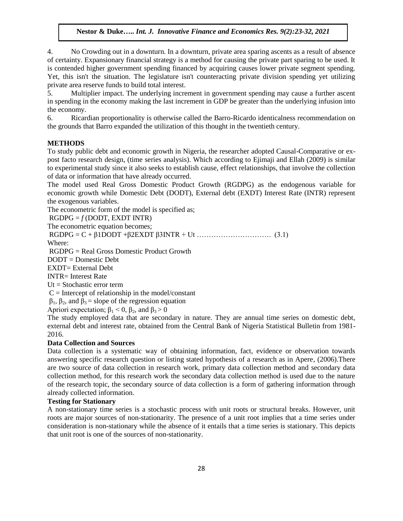4. No Crowding out in a downturn. In a downturn, private area sparing ascents as a result of absence of certainty. Expansionary financial strategy is a method for causing the private part sparing to be used. It is contended higher government spending financed by acquiring causes lower private segment spending. Yet, this isn't the situation. The legislature isn't counteracting private division spending yet utilizing private area reserve funds to build total interest.

5. Multiplier impact. The underlying increment in government spending may cause a further ascent in spending in the economy making the last increment in GDP be greater than the underlying infusion into the economy.

6. Ricardian proportionality is otherwise called the Barro-Ricardo identicalness recommendation on the grounds that Barro expanded the utilization of this thought in the twentieth century.

## **METHODS**

To study public debt and economic growth in Nigeria, the researcher adopted Causal-Comparative or expost facto research design, (time series analysis). Which according to Ejimaji and Ellah (2009) is similar to experimental study since it also seeks to establish cause, effect relationships, that involve the collection of data or information that have already occurred.

The model used Real Gross Domestic Product Growth (RGDPG) as the endogenous variable for economic growth while Domestic Debt (DODT), External debt (EXDT) Interest Rate (INTR) represent the exogenous variables.

The econometric form of the model is specified as;

 $RGDPG = f(DODT, EXDT INTR)$ 

The econometric equation becomes;

RGDPG = C + β1DODT +β2EXDT β3INTR + Ut …………………………. (3.1)

Where:

RGDPG = Real Gross Domestic Product Growth

DODT = Domestic Debt

EXDT= External Debt

INTR= Interest Rate

 $Ut = Stochastic error term$ 

 $C =$  Intercept of relationship in the model/constant

 $β_1$ ,  $β_2$ , and  $β_3$  = slope of the regression equation

Apriori expectation;  $β_1 < 0$ ,  $β_2$ , and  $β_3 > 0$ 

The study employed data that are secondary in nature. They are annual time series on domestic debt, external debt and interest rate, obtained from the Central Bank of Nigeria Statistical Bulletin from 1981- 2016.

#### **Data Collection and Sources**

Data collection is a systematic way of obtaining information, fact, evidence or observation towards answering specific research question or listing stated hypothesis of a research as in Apere, (2006).There are two source of data collection in research work, primary data collection method and secondary data collection method, for this research work the secondary data collection method is used due to the nature of the research topic, the secondary source of data collection is a form of gathering information through already collected information.

# **Testing for Stationary**

A non-stationary time series is a stochastic process with unit roots or structural breaks. However, unit roots are major sources of non-stationarity. The presence of a unit root implies that a time series under consideration is non-stationary while the absence of it entails that a time series is stationary. This depicts that unit root is one of the sources of non-stationarity.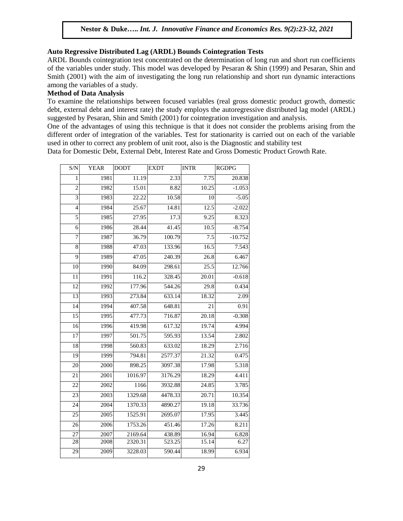## **Auto Regressive Distributed Lag (ARDL) Bounds Cointegration Tests**

ARDL Bounds cointegration test concentrated on the determination of long run and short run coefficients of the variables under study. This model was developed by Pesaran & Shin (1999) and Pesaran, Shin and Smith (2001) with the aim of investigating the long run relationship and short run dynamic interactions among the variables of a study.

## **Method of Data Analysis**

To examine the relationships between focused variables (real gross domestic product growth, domestic debt, external debt and interest rate) the study employs the autoregressive distributed lag model (ARDL) suggested by Pesaran, Shin and Smith (2001) for cointegration investigation and analysis.

One of the advantages of using this technique is that it does not consider the problems arising from the different order of integration of the variables. Test for stationarity is carried out on each of the variable used in other to correct any problem of unit root, also is the Diagnostic and stability test

Data for Domestic Debt, External Debt, Interest Rate and Gross Domestic Product Growth Rate.

| S/N             | <b>YEAR</b>       | <b>DODT</b> | <b>EXDT</b> | <b>INTR</b>        | <b>RGDPG</b> |
|-----------------|-------------------|-------------|-------------|--------------------|--------------|
| $\mathbf{1}$    | 1981              | 11.19       | 2.33        | 7.75               | 20.838       |
| $\overline{2}$  | 1982              | 15.01       | 8.82        | 10.25              | $-1.053$     |
| $\overline{3}$  | 1983              | 22.22       | 10.58       | 10                 | $-5.05$      |
| 4               | 1984              | 25.67       | 14.81       | 12.5               | $-2.022$     |
| 5               | 1985              | 27.95       | 17.3        | 9.25               | 8.323        |
| 6               | 1986              | 28.44       | 41.45       | 10.5               | $-8.754$     |
| 7               | 1987              | 36.79       | 100.79      | 7.5                | $-10.752$    |
| 8               | 1988              | 47.03       | 133.96      | 16.5               | 7.543        |
| 9               | 1989              | 47.05       | 240.39      | 26.8               | 6.467        |
| 10              | 1990              | 84.09       | 298.61      | 25.5               | 12.766       |
| 11              | 1991              | 116.2       | 328.45      | 20.01              | $-0.618$     |
| $\overline{12}$ | 1992              | 177.96      | 544.26      | $\overline{29.8}$  | 0.434        |
| $\overline{13}$ | 1993              | 273.84      | 633.14      | 18.32              | 2.09         |
| 14              | 1994              | 407.58      | 648.81      | 21                 | 0.91         |
| $\overline{15}$ | 1995              | 477.73      | 716.87      | 20.18              | $-0.308$     |
| 16              | 1996              | 419.98      | 617.32      | 19.74              | 4.994        |
| $\overline{17}$ | 1997              | 501.75      | 595.93      | 13.54              | 2.802        |
| 18              | 1998              | 560.83      | 633.02      | 18.29              | 2.716        |
| $\overline{19}$ | 1999              | 794.81      | 2577.37     | 21.32              | 0.475        |
| 20              | 2000              | 898.25      | 3097.38     | 17.98              | 5.318        |
| 21              | 2001              | 1016.97     | 3176.29     | 18.29              | 4.411        |
| 22              | 2002              | 1166        | 3932.88     | 24.85              | 3.785        |
| 23              | $\overline{2003}$ | 1329.68     | 4478.33     | 20.71              | 10.354       |
| 24              | 2004              | 1370.33     | 4890.27     | 19.18              | 33.736       |
| 25              | 2005              | 1525.91     | 2695.07     | 17.95              | 3.445        |
| 26              | 2006              | 1753.26     | 451.46      | 17.26              | 8.211        |
| 27              | 2007              | 2169.64     | 438.89      | 16.94              | 6.828        |
| 28              | 2008              | 2320.31     | 523.25      | 15.14              | 6.27         |
| $\overline{29}$ | 2009              | 3228.03     | 590.44      | $\overline{18.99}$ | 6.934        |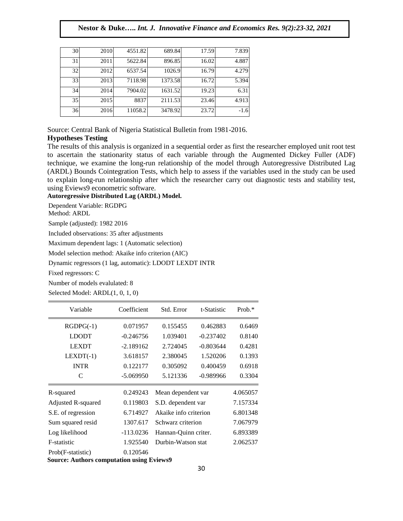| 30 | 2010 | 4551.82 | 689.84  | 17.59 | 7.839  |
|----|------|---------|---------|-------|--------|
| 31 | 2011 | 5622.84 | 896.85  | 16.02 | 4.887  |
| 32 | 2012 | 6537.54 | 1026.9  | 16.79 | 4.279  |
| 33 | 2013 | 7118.98 | 1373.58 | 16.72 | 5.394  |
| 34 | 2014 | 7904.02 | 1631.52 | 19.23 | 6.31   |
| 35 | 2015 | 8837    | 2111.53 | 23.46 | 4.913  |
| 36 | 2016 | 11058.2 | 3478.92 | 23.72 | $-1.6$ |

Source: Central Bank of Nigeria Statistical Bulletin from 1981-2016.

# **Hypotheses Testing**

The results of this analysis is organized in a sequential order as first the researcher employed unit root test to ascertain the stationarity status of each variable through the Augmented Dickey Fuller (ADF) technique, we examine the long-run relationship of the model through Autoregressive Distributed Lag (ARDL) Bounds Cointegration Tests, which help to assess if the variables used in the study can be used to explain long-run relationship after which the researcher carry out diagnostic tests and stability test, using Eviews9 econometric software.

**Autoregressive Distributed Lag (ARDL) Model.**

Dependent Variable: RGDPG

Method: ARDL

Sample (adjusted): 1982 2016

Included observations: 35 after adjustments

Maximum dependent lags: 1 (Automatic selection)

Model selection method: Akaike info criterion (AIC)

Dynamic regressors (1 lag, automatic): LDODT LEXDT INTR

Fixed regressors: C

Number of models evalulated: 8

Selected Model: ARDL(1, 0, 1, 0)

| Variable           | Coefficient | Std. Error              | t-Statistic | Prob. $*$ |
|--------------------|-------------|-------------------------|-------------|-----------|
| $RGDPG(-1)$        | 0.071957    | 0.155455                | 0.462883    | 0.6469    |
| <b>LDODT</b>       | $-0.246756$ | 1.039401<br>$-0.237402$ |             | 0.8140    |
| <b>LEXDT</b>       | $-2.189162$ | 2.724045                | $-0.803644$ | 0.4281    |
| $LEXDT(-1)$        | 3.618157    | 2.380045                | 1.520206    | 0.1393    |
| <b>INTR</b>        | 0.122177    | 0.305092                | 0.400459    | 0.6918    |
| C                  | $-5.069950$ | 5.121336                | $-0.989966$ | 0.3304    |
| R-squared          | 0.249243    | Mean dependent var      |             | 4.065057  |
| Adjusted R-squared | 0.119803    | S.D. dependent var      |             | 7.157334  |
| S.E. of regression | 6.714927    | Akaike info criterion   |             | 6.801348  |
| Sum squared resid  | 1307.617    | Schwarz criterion       |             | 7.067979  |
| Log likelihood     | $-113.0236$ | Hannan-Quinn criter.    |             | 6.893389  |
| F-statistic        | 1.925540    | Durbin-Watson stat      |             | 2.062537  |
| Prob(F-statistic)  | 0.120546    |                         |             |           |

**Source: Authors computation using Eviews9**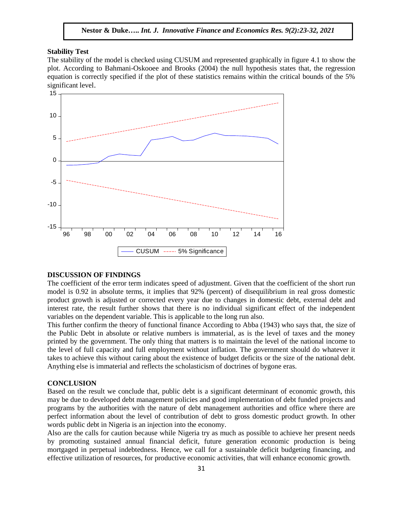#### **Stability Test**

The stability of the model is checked using CUSUM and represented graphically in figure 4.1 to show the plot. According to Bahmani-Oskooee and Brooks (2004) the null hypothesis states that, the regression equation is correctly specified if the plot of these statistics remains within the critical bounds of the 5% significant level.



#### **DISCUSSION OF FINDINGS**

The coefficient of the error term indicates speed of adjustment. Given that the coefficient of the short run model is 0.92 in absolute terms, it implies that 92% (percent) of disequilibrium in real gross domestic product growth is adjusted or corrected every year due to changes in domestic debt, external debt and interest rate, the result further shows that there is no individual significant effect of the independent variables on the dependent variable. This is applicable to the long run also.

This further confirm the theory of functional finance According to Abba (1943) who says that, the size of the Public Debt in absolute or relative numbers is immaterial, as is the level of taxes and the money printed by the government. The only thing that matters is to maintain the level of the national income to the level of full capacity and full employment without inflation. The government should do whatever it takes to achieve this without caring about the existence of budget deficits or the size of the national debt. Anything else is immaterial and reflects the scholasticism of doctrines of bygone eras.

### **CONCLUSION**

Based on the result we conclude that, public debt is a significant determinant of economic growth, this may be due to developed debt management policies and good implementation of debt funded projects and programs by the authorities with the nature of debt management authorities and office where there are perfect information about the level of contribution of debt to gross domestic product growth. In other words public debt in Nigeria is an injection into the economy.

Also are the calls for caution because while Nigeria try as much as possible to achieve her present needs by promoting sustained annual financial deficit, future generation economic production is being mortgaged in perpetual indebtedness. Hence, we call for a sustainable deficit budgeting financing, and effective utilization of resources, for productive economic activities, that will enhance economic growth.